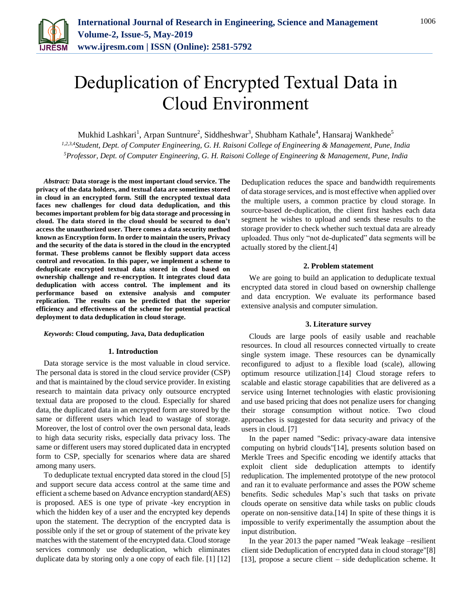

# Deduplication of Encrypted Textual Data in Cloud Environment

Mukhid Lashkari<sup>1</sup>, Arpan Suntnure<sup>2</sup>, Siddheshwar<sup>3</sup>, Shubham Kathale<sup>4</sup>, Hansaraj Wankhede<sup>5</sup>

*1,2,3,4Student, Dept. of Computer Engineering, G. H. Raisoni College of Engineering & Management, Pune, India 5Professor, Dept. of Computer Engineering, G. H. Raisoni College of Engineering & Management, Pune, India*

*Abstract:* **Data storage is the most important cloud service. The privacy of the data holders, and textual data are sometimes stored in cloud in an encrypted form. Still the encrypted textual data faces new challenges for cloud data deduplication, and this becomes important problem for big data storage and processing in cloud. The data stored in the cloud should be secured to don't access the unauthorized user. There comes a data security method known as Encryption form. In order to maintain the users, Privacy and the security of the data is stored in the cloud in the encrypted format. These problems cannot be flexibly support data access control and revocation. In this paper, we implement a scheme to deduplicate encrypted textual data stored in cloud based on ownership challenge and re-encryption. It integrates cloud data deduplication with access control. The implement and its performance based on extensive analysis and computer replication. The results can be predicted that the superior efficiency and effectiveness of the scheme for potential practical deployment to data deduplication in cloud storage.**

## *Keywords***: Cloud computing, Java, Data deduplication**

## **1. Introduction**

Data storage service is the most valuable in cloud service. The personal data is stored in the cloud service provider (CSP) and that is maintained by the cloud service provider. In existing research to maintain data privacy only outsource encrypted textual data are proposed to the cloud. Especially for shared data, the duplicated data in an encrypted form are stored by the same or different users which lead to wastage of storage. Moreover, the lost of control over the own personal data, leads to high data security risks, especially data privacy loss. The same or different users may stored duplicated data in encrypted form to CSP, specially for scenarios where data are shared among many users.

To deduplicate textual encrypted data stored in the cloud [5] and support secure data access control at the same time and efficient a scheme based on Advance encryption standard(AES) is proposed. AES is one type of private -key encryption in which the hidden key of a user and the encrypted key depends upon the statement. The decryption of the encrypted data is possible only if the set or group of statement of the private key matches with the statement of the encrypted data. Cloud storage services commonly use deduplication, which eliminates duplicate data by storing only a one copy of each file. [1] [12]

Deduplication reduces the space and bandwidth requirements of data storage services, and is most effective when applied over the multiple users, a common practice by cloud storage. In source-based de-duplication, the client first hashes each data segment he wishes to upload and sends these results to the storage provider to check whether such textual data are already uploaded. Thus only "not de-duplicated" data segments will be actually stored by the client.[4]

# **2. Problem statement**

We are going to build an application to deduplicate textual encrypted data stored in cloud based on ownership challenge and data encryption. We evaluate its performance based extensive analysis and computer simulation.

#### **3. Literature survey**

Clouds are large pools of easily usable and reachable resources. In cloud all resources connected virtually to create single system image. These resources can be dynamically reconfigured to adjust to a flexible load (scale), allowing optimum resource utilization.[14] Cloud storage refers to scalable and elastic storage capabilities that are delivered as a service using Internet technologies with elastic provisioning and use based pricing that does not penalize users for changing their storage consumption without notice. Two cloud approaches is suggested for data security and privacy of the users in cloud. [7]

In the paper named "Sedic: privacy-aware data intensive computing on hybrid clouds"[14], presents solution based on Merkle Trees and Specific encoding we identify attacks that exploit client side deduplication attempts to identify reduplication. The implemented prototype of the new protocol and ran it to evaluate performance and asses the POW scheme benefits. Sedic schedules Map's such that tasks on private clouds operate on sensitive data while tasks on public clouds operate on non-sensitive data.[14] In spite of these things it is impossible to verify experimentally the assumption about the input distribution.

In the year 2013 the paper named "Weak leakage –resilient client side Deduplication of encrypted data in cloud storage"[8] [13], propose a secure client – side deduplication scheme. It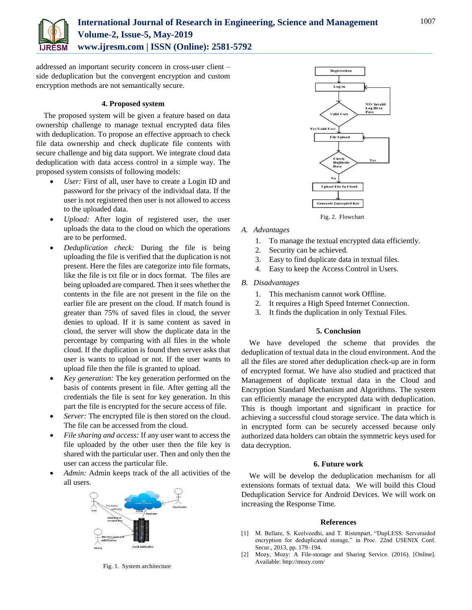

addressed an important security concern in cross-user client – side deduplication but the convergent encryption and custom encryption methods are not semantically secure.

# **4. Proposed system**

The proposed system will be given a feature based on data ownership challenge to manage textual encrypted data files with deduplication. To propose an effective approach to check file data ownership and check duplicate file contents with secure challenge and big data support. We integrate cloud data deduplication with data access control in a simple way. The proposed system consists of following models:

- *User:* First of all, user have to create a Login ID and password for the privacy of the individual data. If the user is not registered then user is not allowed to access to the uploaded data.
- *Upload:* After login of registered user, the user uploads the data to the cloud on which the operations are to be performed.
- *Deduplication check:* During the file is being uploading the file is verified that the duplication is not present. Here the files are categorize into file formats, like the file is txt file or in docs format. The files are being uploaded are compared. Then it sees whether the contents in the file are not present in the file on the earlier file are present on the cloud. If match found is greater than 75% of saved files in cloud, the server denies to upload. If it is same content as saved in cloud, the server will show the duplicate data in the percentage by comparing with all files in the whole cloud. If the duplication is found then server asks that user is wants to upload or not. If the user wants to upload file then the file is granted to upload.
- *Key generation:* The key generation performed on the basis of contents present in file. After getting all the credentials the file is sent for key generation. In this part the file is encrypted for the secure access of file.
- *Server:* The encrypted file is then stored on the cloud. The file can be accessed from the cloud.
- *File sharing and access:* If any user want to access the file uploaded by the other user then the file key is shared with the particular user. Then and only then the user can access the particular file.
- *Admin:* Admin keeps track of the all activities of the all users.



Fig. 1. System architecture



Fig. 2. Flowchart

- *A. Advantages*
	- 1. To manage the textual encrypted data efficiently.
	- 2. Security can be achieved.
	- 3. Easy to find duplicate data in textual files.
	- 4. Easy to keep the Access Control in Users.
- *B. Disadvantages*
	- 1. This mechanism cannot work Offline.
	- 2. It requires a High Speed Internet Connection.
	- 3. It finds the duplication in only Textual Files.

# **5. Conclusion**

We have developed the scheme that provides the deduplication of textual data in the cloud environment. And the all the files are stored after deduplication check-up are in form of encrypted format. We have also studied and practiced that Management of duplicate textual data in the Cloud and Encryption Standard Mechanism and Algorithms. The system can efficiently manage the encrypted data with deduplication. This is though important and significant in practice for achieving a successful cloud storage service. The data which is in encrypted form can be securely accessed because only authorized data holders can obtain the symmetric keys used for data decryption.

# **6. Future work**

We will be develop the deduplication mechanism for all extensions formats of textual data. We will build this Cloud Deduplication Service for Android Devices. We will work on increasing the Response Time.

#### **References**

- [1] M. Bellare, S. Keelveedhi, and T. Ristenpart, "DupLESS: Serveraided encryption for deduplicated storage," in Proc. 22nd USENIX Conf. Secur., 2013, pp. 179–194.
- [2] Mozy, Mozy: A File-storage and Sharing Service. (2016). [Online]. Available: http://mozy.com/